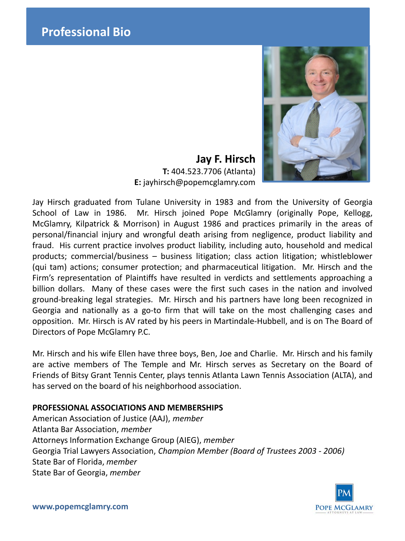

**Jay F. Hirsch T:** 404.523.7706 (Atlanta) **E:** jayhirsch@popemcglamry.com

Jay Hirsch graduated from Tulane University in 1983 and from the University of Georgia School of Law in 1986. Mr. Hirsch joined Pope McGlamry (originally Pope, Kellogg, McGlamry, Kilpatrick & Morrison) in August 1986 and practices primarily in the areas of personal/financial injury and wrongful death arising from negligence, product liability and fraud. His current practice involves product liability, including auto, household and medical products; commercial/business – business litigation; class action litigation; whistleblower (qui tam) actions; consumer protection; and pharmaceutical litigation. Mr. Hirsch and the Firm's representation of Plaintiffs have resulted in verdicts and settlements approaching a billion dollars. Many of these cases were the first such cases in the nation and involved ground-breaking legal strategies. Mr. Hirsch and his partners have long been recognized in Georgia and nationally as a go-to firm that will take on the most challenging cases and opposition. Mr. Hirsch is AV rated by his peers in Martindale-Hubbell, and is on The Board of Directors of Pope McGlamry P.C.

Mr. Hirsch and his wife Ellen have three boys, Ben, Joe and Charlie. Mr. Hirsch and his family are active members of The Temple and Mr. Hirsch serves as Secretary on the Board of Friends of Bitsy Grant Tennis Center, plays tennis Atlanta Lawn Tennis Association (ALTA), and has served on the board of his neighborhood association.

### **PROFESSIONAL ASSOCIATIONS AND MEMBERSHIPS**

American Association of Justice (AAJ), *member* Atlanta Bar Association, *member* Attorneys Information Exchange Group (AIEG), *member* Georgia Trial Lawyers Association, *Champion Member (Board of Trustees 2003 - 2006)* State Bar of Florida, *member* State Bar of Georgia, *member*



**www.popemcglamry.com**